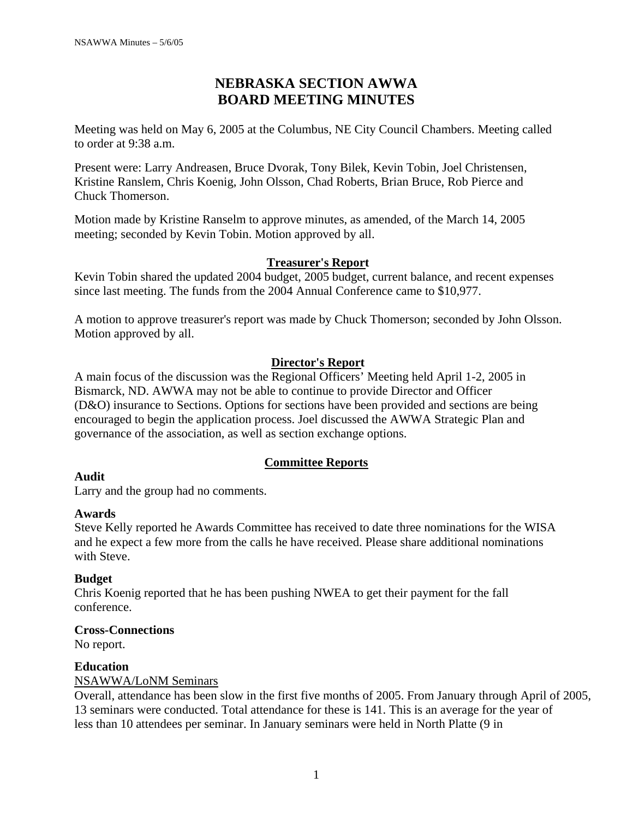# **NEBRASKA SECTION AWWA BOARD MEETING MINUTES**

Meeting was held on May 6, 2005 at the Columbus, NE City Council Chambers. Meeting called to order at 9:38 a.m.

Present were: Larry Andreasen, Bruce Dvorak, Tony Bilek, Kevin Tobin, Joel Christensen, Kristine Ranslem, Chris Koenig, John Olsson, Chad Roberts, Brian Bruce, Rob Pierce and Chuck Thomerson.

Motion made by Kristine Ranselm to approve minutes, as amended, of the March 14, 2005 meeting; seconded by Kevin Tobin. Motion approved by all.

## **Treasurer's Report**

Kevin Tobin shared the updated 2004 budget, 2005 budget, current balance, and recent expenses since last meeting. The funds from the 2004 Annual Conference came to \$10,977.

A motion to approve treasurer's report was made by Chuck Thomerson; seconded by John Olsson. Motion approved by all.

# **Director's Report**

A main focus of the discussion was the Regional Officers' Meeting held April 1-2, 2005 in Bismarck, ND. AWWA may not be able to continue to provide Director and Officer (D&O) insurance to Sections. Options for sections have been provided and sections are being encouraged to begin the application process. Joel discussed the AWWA Strategic Plan and governance of the association, as well as section exchange options.

# **Committee Reports**

## **Audit**

Larry and the group had no comments.

## **Awards**

Steve Kelly reported he Awards Committee has received to date three nominations for the WISA and he expect a few more from the calls he have received. Please share additional nominations with Steve.

## **Budget**

Chris Koenig reported that he has been pushing NWEA to get their payment for the fall conference.

## **Cross-Connections**

No report.

## **Education**

## NSAWWA/LoNM Seminars

Overall, attendance has been slow in the first five months of 2005. From January through April of 2005, 13 seminars were conducted. Total attendance for these is 141. This is an average for the year of less than 10 attendees per seminar. In January seminars were held in North Platte (9 in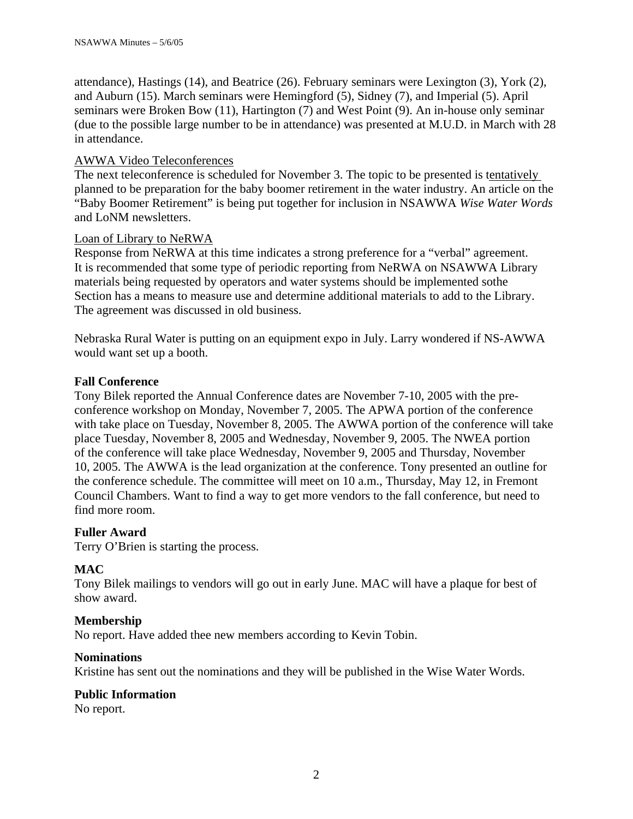attendance), Hastings (14), and Beatrice (26). February seminars were Lexington (3), York (2), and Auburn (15). March seminars were Hemingford (5), Sidney (7), and Imperial (5). April seminars were Broken Bow (11), Hartington (7) and West Point (9). An in-house only seminar (due to the possible large number to be in attendance) was presented at M.U.D. in March with 28 in attendance.

### AWWA Video Teleconferences

The next teleconference is scheduled for November 3. The topic to be presented is tentatively planned to be preparation for the baby boomer retirement in the water industry. An article on the "Baby Boomer Retirement" is being put together for inclusion in NSAWWA *Wise Water Words* and LoNM newsletters.

### Loan of Library to NeRWA

Response from NeRWA at this time indicates a strong preference for a "verbal" agreement. It is recommended that some type of periodic reporting from NeRWA on NSAWWA Library materials being requested by operators and water systems should be implemented sothe Section has a means to measure use and determine additional materials to add to the Library. The agreement was discussed in old business.

Nebraska Rural Water is putting on an equipment expo in July. Larry wondered if NS-AWWA would want set up a booth.

### **Fall Conference**

Tony Bilek reported the Annual Conference dates are November 7-10, 2005 with the preconference workshop on Monday, November 7, 2005. The APWA portion of the conference with take place on Tuesday, November 8, 2005. The AWWA portion of the conference will take place Tuesday, November 8, 2005 and Wednesday, November 9, 2005. The NWEA portion of the conference will take place Wednesday, November 9, 2005 and Thursday, November 10, 2005. The AWWA is the lead organization at the conference. Tony presented an outline for the conference schedule. The committee will meet on 10 a.m., Thursday, May 12, in Fremont Council Chambers. Want to find a way to get more vendors to the fall conference, but need to find more room.

## **Fuller Award**

Terry O'Brien is starting the process.

## **MAC**

Tony Bilek mailings to vendors will go out in early June. MAC will have a plaque for best of show award.

## **Membership**

No report. Have added thee new members according to Kevin Tobin.

#### **Nominations**

Kristine has sent out the nominations and they will be published in the Wise Water Words.

#### **Public Information**

No report.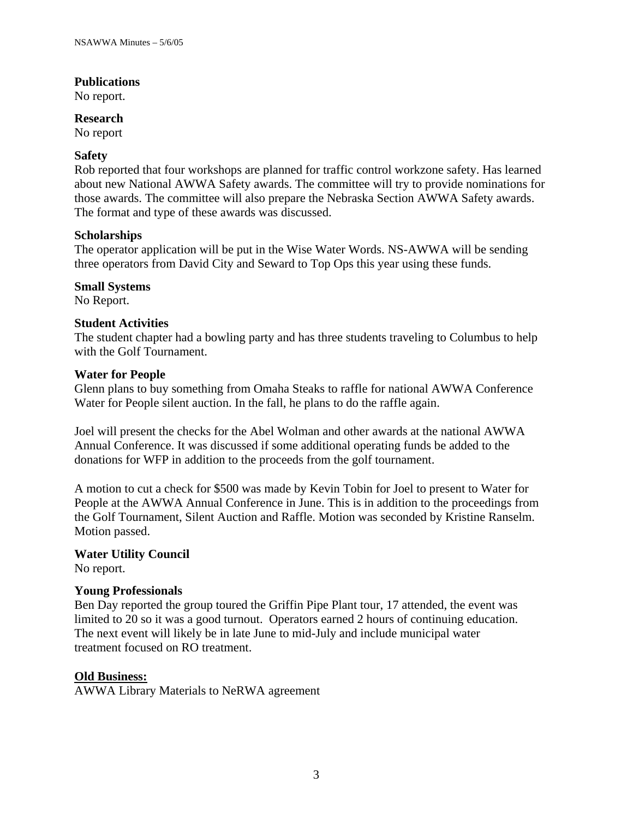## **Publications**

No report.

## **Research**

No report

## **Safety**

Rob reported that four workshops are planned for traffic control workzone safety. Has learned about new National AWWA Safety awards. The committee will try to provide nominations for those awards. The committee will also prepare the Nebraska Section AWWA Safety awards. The format and type of these awards was discussed.

## **Scholarships**

The operator application will be put in the Wise Water Words. NS-AWWA will be sending three operators from David City and Seward to Top Ops this year using these funds.

## **Small Systems**

No Report.

## **Student Activities**

The student chapter had a bowling party and has three students traveling to Columbus to help with the Golf Tournament.

## **Water for People**

Glenn plans to buy something from Omaha Steaks to raffle for national AWWA Conference Water for People silent auction. In the fall, he plans to do the raffle again.

Joel will present the checks for the Abel Wolman and other awards at the national AWWA Annual Conference. It was discussed if some additional operating funds be added to the donations for WFP in addition to the proceeds from the golf tournament.

A motion to cut a check for \$500 was made by Kevin Tobin for Joel to present to Water for People at the AWWA Annual Conference in June. This is in addition to the proceedings from the Golf Tournament, Silent Auction and Raffle. Motion was seconded by Kristine Ranselm. Motion passed.

# **Water Utility Council**

No report.

## **Young Professionals**

Ben Day reported the group toured the Griffin Pipe Plant tour, 17 attended, the event was limited to 20 so it was a good turnout. Operators earned 2 hours of continuing education. The next event will likely be in late June to mid-July and include municipal water treatment focused on RO treatment.

## **Old Business:**

AWWA Library Materials to NeRWA agreement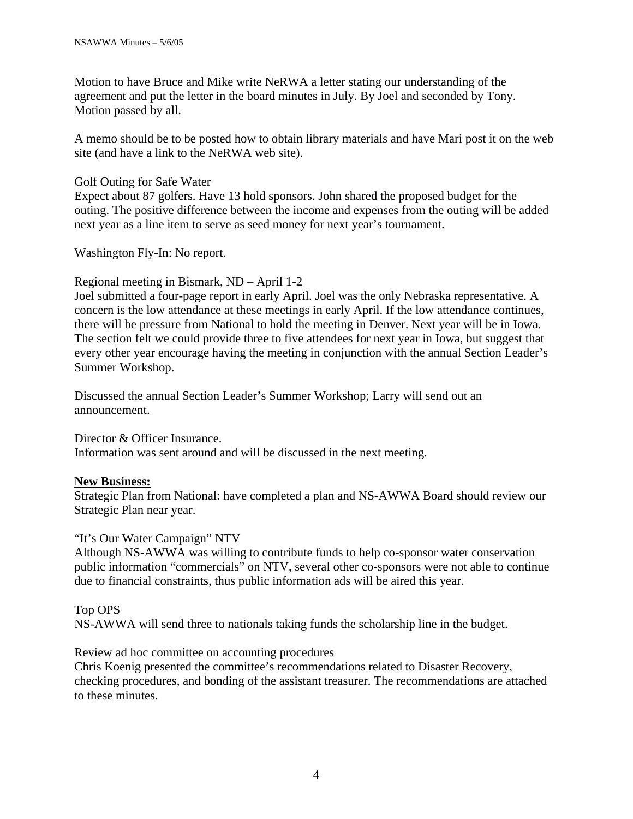Motion to have Bruce and Mike write NeRWA a letter stating our understanding of the agreement and put the letter in the board minutes in July. By Joel and seconded by Tony. Motion passed by all.

A memo should be to be posted how to obtain library materials and have Mari post it on the web site (and have a link to the NeRWA web site).

## Golf Outing for Safe Water

Expect about 87 golfers. Have 13 hold sponsors. John shared the proposed budget for the outing. The positive difference between the income and expenses from the outing will be added next year as a line item to serve as seed money for next year's tournament.

Washington Fly-In: No report.

### Regional meeting in Bismark, ND – April 1-2

Joel submitted a four-page report in early April. Joel was the only Nebraska representative. A concern is the low attendance at these meetings in early April. If the low attendance continues, there will be pressure from National to hold the meeting in Denver. Next year will be in Iowa. The section felt we could provide three to five attendees for next year in Iowa, but suggest that every other year encourage having the meeting in conjunction with the annual Section Leader's Summer Workshop.

Discussed the annual Section Leader's Summer Workshop; Larry will send out an announcement.

Director & Officer Insurance. Information was sent around and will be discussed in the next meeting.

#### **New Business:**

Strategic Plan from National: have completed a plan and NS-AWWA Board should review our Strategic Plan near year.

#### "It's Our Water Campaign" NTV

Although NS-AWWA was willing to contribute funds to help co-sponsor water conservation public information "commercials" on NTV, several other co-sponsors were not able to continue due to financial constraints, thus public information ads will be aired this year.

Top OPS NS-AWWA will send three to nationals taking funds the scholarship line in the budget.

Review ad hoc committee on accounting procedures

Chris Koenig presented the committee's recommendations related to Disaster Recovery, checking procedures, and bonding of the assistant treasurer. The recommendations are attached to these minutes.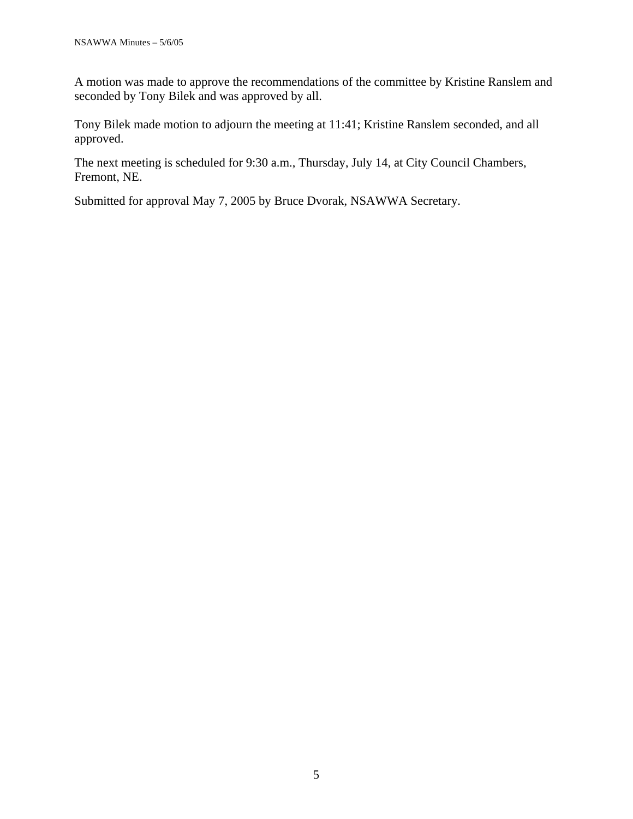A motion was made to approve the recommendations of the committee by Kristine Ranslem and seconded by Tony Bilek and was approved by all.

Tony Bilek made motion to adjourn the meeting at 11:41; Kristine Ranslem seconded, and all approved.

The next meeting is scheduled for 9:30 a.m., Thursday, July 14, at City Council Chambers, Fremont, NE.

Submitted for approval May 7, 2005 by Bruce Dvorak, NSAWWA Secretary.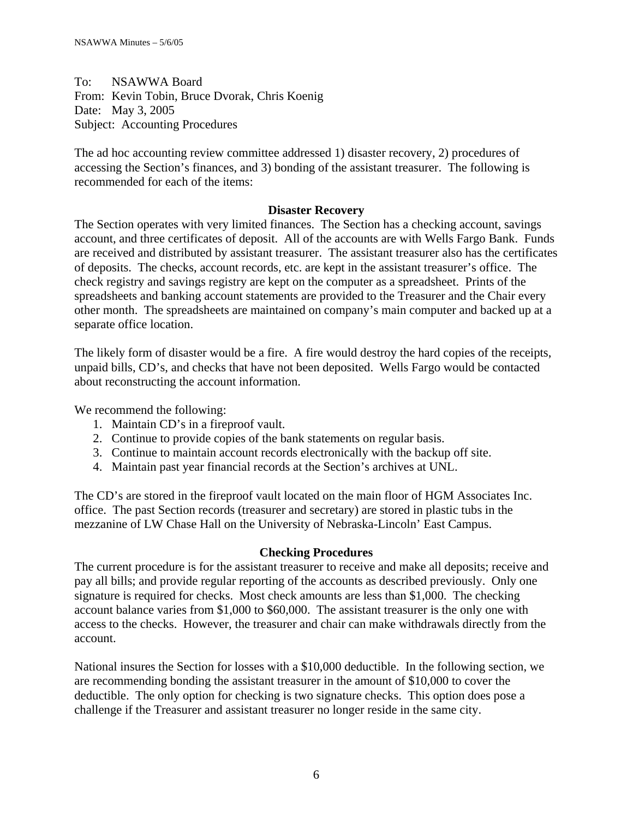To: NSAWWA Board From: Kevin Tobin, Bruce Dvorak, Chris Koenig Date: May 3, 2005 Subject: Accounting Procedures

The ad hoc accounting review committee addressed 1) disaster recovery, 2) procedures of accessing the Section's finances, and 3) bonding of the assistant treasurer. The following is recommended for each of the items:

## **Disaster Recovery**

The Section operates with very limited finances. The Section has a checking account, savings account, and three certificates of deposit. All of the accounts are with Wells Fargo Bank. Funds are received and distributed by assistant treasurer. The assistant treasurer also has the certificates of deposits. The checks, account records, etc. are kept in the assistant treasurer's office. The check registry and savings registry are kept on the computer as a spreadsheet. Prints of the spreadsheets and banking account statements are provided to the Treasurer and the Chair every other month. The spreadsheets are maintained on company's main computer and backed up at a separate office location.

The likely form of disaster would be a fire. A fire would destroy the hard copies of the receipts, unpaid bills, CD's, and checks that have not been deposited. Wells Fargo would be contacted about reconstructing the account information.

We recommend the following:

- 1. Maintain CD's in a fireproof vault.
- 2. Continue to provide copies of the bank statements on regular basis.
- 3. Continue to maintain account records electronically with the backup off site.
- 4. Maintain past year financial records at the Section's archives at UNL.

The CD's are stored in the fireproof vault located on the main floor of HGM Associates Inc. office. The past Section records (treasurer and secretary) are stored in plastic tubs in the mezzanine of LW Chase Hall on the University of Nebraska-Lincoln' East Campus.

## **Checking Procedures**

The current procedure is for the assistant treasurer to receive and make all deposits; receive and pay all bills; and provide regular reporting of the accounts as described previously. Only one signature is required for checks. Most check amounts are less than \$1,000. The checking account balance varies from \$1,000 to \$60,000. The assistant treasurer is the only one with access to the checks. However, the treasurer and chair can make withdrawals directly from the account.

National insures the Section for losses with a \$10,000 deductible. In the following section, we are recommending bonding the assistant treasurer in the amount of \$10,000 to cover the deductible. The only option for checking is two signature checks. This option does pose a challenge if the Treasurer and assistant treasurer no longer reside in the same city.